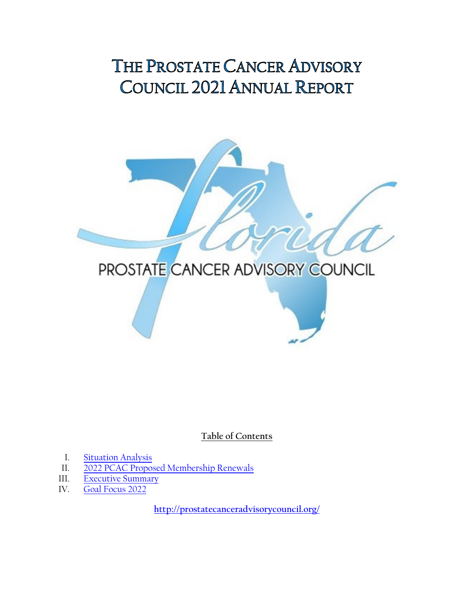# <span id="page-0-0"></span>THE PROSTATE CANCER ADVISORY COUNCIL 2021 ANNUAL REPORT



**Table of Contents**

- I. Situation Analysis<br>II. 2022 PCAC Propos
- [2022 PCAC Proposed Membership Renewals](#page-1-0)
- III. [Executive Summary](#page-1-0)
- IV. [Goal Focus 2022](#page-4-0)

**<http://prostatecanceradvisorycouncil.org/>**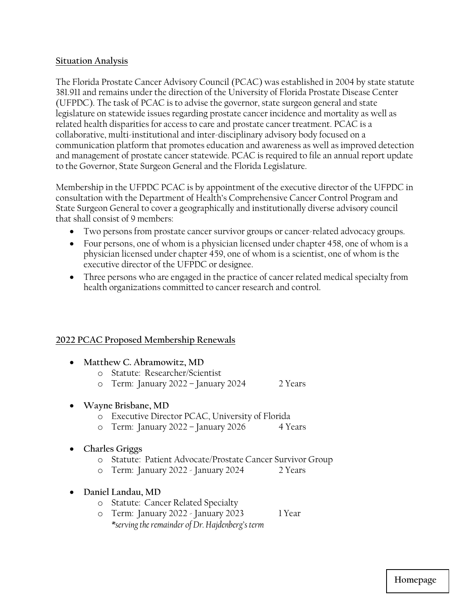### <span id="page-1-0"></span>**[Situation Analysis](#page-0-0)**

The Florida Prostate Cancer Advisory Council (PCAC) was established in 2004 by state statute 381.911 and remains under the direction of the University of Florida Prostate Disease Center (UFPDC). The task of PCAC is to advise the governor, state surgeon general and state legislature on statewide issues regarding prostate cancer incidence and mortality as well as related health disparities for access to care and prostate cancer treatment. PCAC is a collaborative, multi-institutional and inter-disciplinary advisory body focused on a communication platform that promotes education and awareness as well as improved detection and management of prostate cancer statewide. PCAC is required to file an annual report update to the Governor, State Surgeon General and the Florida Legislature.

Membership in the UFPDC PCAC is by appointment of the executive director of the UFPDC in consultation with the Department of Health's Comprehensive Cancer Control Program and State Surgeon General to cover a geographically and institutionally diverse advisory council that shall consist of 9 members:

- Two persons from prostate cancer survivor groups or cancer-related advocacy groups.
- Four persons, one of whom is a physician licensed under chapter 458, one of whom is a physician licensed under chapter 459, one of whom is a scientist, one of whom is the executive director of the UFPDC or designee.
- Three persons who are engaged in the practice of cancer related medical specialty from health organizations committed to cancer research and control.

## **2022 PCAC Proposed Membership Renewals**

| Matthew C. Abramowitz, MD<br>$\bullet$ |                                                           |                                                          |         |
|----------------------------------------|-----------------------------------------------------------|----------------------------------------------------------|---------|
|                                        | $\bigcap$                                                 | Statute: Researcher/Scientist                            |         |
|                                        | $\circ$                                                   | Term: January 2022 – January 2024                        | 2 Years |
|                                        | Wayne Brisbane, MD                                        |                                                          |         |
|                                        | Executive Director PCAC, University of Florida<br>$\circ$ |                                                          |         |
|                                        | $\circ$                                                   | Term: January 2022 – January 2026                        | 4 Years |
| $\bullet$                              | <b>Charles Griggs</b>                                     |                                                          |         |
|                                        | $\circ$                                                   | Statute: Patient Advocate/Prostate Cancer Survivor Group |         |
|                                        | $\circ$                                                   | Term: January 2022 - January 2024                        | 2 Years |
| $\bullet$                              | Daniel Landau, MD                                         |                                                          |         |
|                                        | $\circ$                                                   | <b>Statute: Cancer Related Specialty</b>                 |         |
|                                        | $\circ$                                                   | Term: January 2022 - January 2023                        | 1 Year  |
|                                        |                                                           | *serving the remainder of Dr. Hajdenberg's term          |         |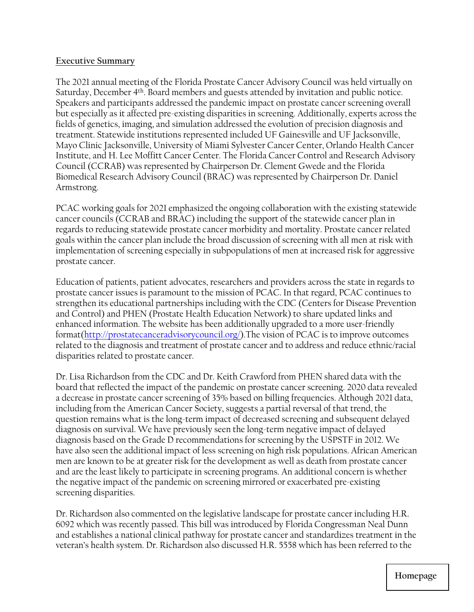#### **[Executive Summary](#page-1-0)**

The 2021 annual meeting of the Florida Prostate Cancer Advisory Council was held virtually on Saturday, December 4<sup>th</sup>. Board members and guests attended by invitation and public notice. Speakers and participants addressed the pandemic impact on prostate cancer screening overall but especially as it affected pre-existing disparities in screening. Additionally, experts across the fields of genetics, imaging, and simulation addressed the evolution of precision diagnosis and treatment. Statewide institutions represented included UF Gainesville and UF Jacksonville, Mayo Clinic Jacksonville, University of Miami Sylvester Cancer Center, Orlando Health Cancer Institute, and H. Lee Moffitt Cancer Center. The Florida Cancer Control and Research Advisory Council (CCRAB) was represented by Chairperson Dr. Clement Gwede and the Florida Biomedical Research Advisory Council (BRAC) was represented by Chairperson Dr. Daniel Armstrong.

PCAC working goals for 2021 emphasized the ongoing collaboration with the existing statewide cancer councils (CCRAB and BRAC) including the support of the statewide cancer plan in regards to reducing statewide prostate cancer morbidity and mortality. Prostate cancer related goals within the cancer plan include the broad discussion of screening with all men at risk with implementation of screening especially in subpopulations of men at increased risk for aggressive prostate cancer.

Education of patients, patient advocates, researchers and providers across the state in regards to prostate cancer issues is paramount to the mission of PCAC. In that regard, PCAC continues to strengthen its educational partnerships including with the CDC (Centers for Disease Prevention and Control) and PHEN (Prostate Health Education Network) to share updated links and enhanced information. The website has been additionally upgraded to a more user-friendly forma[t\(http://prostatecanceradvisorycouncil.org/\).](http://prostatecanceradvisorycouncil.org/)The vision of PCAC is to improve outcomes related to the diagnosis and treatment of prostate cancer and to address and reduce ethnic/racial disparities related to prostate cancer.

Dr. Lisa Richardson from the CDC and Dr. Keith Crawford from PHEN shared data with the board that reflected the impact of the pandemic on prostate cancer screening. 2020 data revealed a decrease in prostate cancer screening of 35% based on billing frequencies. Although 2021 data, including from the American Cancer Society, suggests a partial reversal of that trend, the question remains what is the long-term impact of decreased screening and subsequent delayed diagnosis on survival. We have previously seen the long-term negative impact of delayed diagnosis based on the Grade D recommendations for screening by the USPSTF in 2012. We have also seen the additional impact of less screening on high risk populations. African American men are known to be at greater risk for the development as well as death from prostate cancer and are the least likely to participate in screening programs. An additional concern is whether the negative impact of the pandemic on screening mirrored or exacerbated pre-existing screening disparities.

Dr. Richardson also commented on the legislative landscape for prostate cancer including H.R. 6092 which was recently passed. This bill was introduced by Florida Congressman Neal Dunn and establishes a national clinical pathway for prostate cancer and standardizes treatment in the veteran's health system. Dr. Richardson also discussed H.R. 5558 which has been referred to the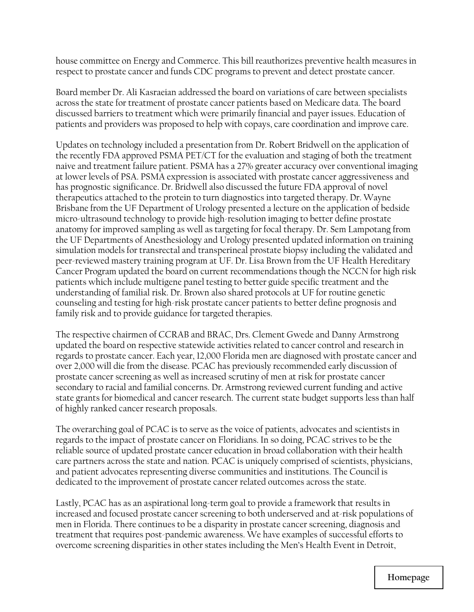house committee on Energy and Commerce. This bill reauthorizes preventive health measures in respect to prostate cancer and funds CDC programs to prevent and detect prostate cancer.

Board member Dr. Ali Kasraeian addressed the board on variations of care between specialists across the state for treatment of prostate cancer patients based on Medicare data. The board discussed barriers to treatment which were primarily financial and payer issues. Education of patients and providers was proposed to help with copays, care coordination and improve care.

Updates on technology included a presentation from Dr. Robert Bridwell on the application of the recently FDA approved PSMA PET/CT for the evaluation and staging of both the treatment naive and treatment failure patient. PSMA has a 27% greater accuracy over conventional imaging at lower levels of PSA. PSMA expression is associated with prostate cancer aggressiveness and has prognostic significance. Dr. Bridwell also discussed the future FDA approval of novel therapeutics attached to the protein to turn diagnostics into targeted therapy. Dr. Wayne Brisbane from the UF Department of Urology presented a lecture on the application of bedside micro-ultrasound technology to provide high-resolution imaging to better define prostate anatomy for improved sampling as well as targeting for focal therapy. Dr. Sem Lampotang from the UF Departments of Anesthesiology and Urology presented updated information on training simulation models for transrectal and transperineal prostate biopsy including the validated and peer-reviewed mastery training program at UF. Dr. Lisa Brown from the UF Health Hereditary Cancer Program updated the board on current recommendations though the NCCN for high risk patients which include multigene panel testing to better guide specific treatment and the understanding of familial risk. Dr. Brown also shared protocols at UF for routine genetic counseling and testing for high-risk prostate cancer patients to better define prognosis and family risk and to provide guidance for targeted therapies.

The respective chairmen of CCRAB and BRAC, Drs. Clement Gwede and Danny Armstrong updated the board on respective statewide activities related to cancer control and research in regards to prostate cancer. Each year, 12,000 Florida men are diagnosed with prostate cancer and over 2,000 will die from the disease. PCAC has previously recommended early discussion of prostate cancer screening as well as increased scrutiny of men at risk for prostate cancer secondary to racial and familial concerns. Dr. Armstrong reviewed current funding and active state grants for biomedical and cancer research. The current state budget supports less than half of highly ranked cancer research proposals.

The overarching goal of PCAC is to serve as the voice of patients, advocates and scientists in regards to the impact of prostate cancer on Floridians. In so doing, PCAC strives to be the reliable source of updated prostate cancer education in broad collaboration with their health care partners across the state and nation. PCAC is uniquely comprised of scientists, physicians, and patient advocates representing diverse communities and institutions. The Council is dedicated to the improvement of prostate cancer related outcomes across the state.

Lastly, PCAC has as an aspirational long-term goal to provide a framework that results in increased and focused prostate cancer screening to both underserved and at-risk populations of men in Florida. There continues to be a disparity in prostate cancer screening, diagnosis and treatment that requires post-pandemic awareness. We have examples of successful efforts to overcome screening disparities in other states including the Men's Health Event in Detroit,